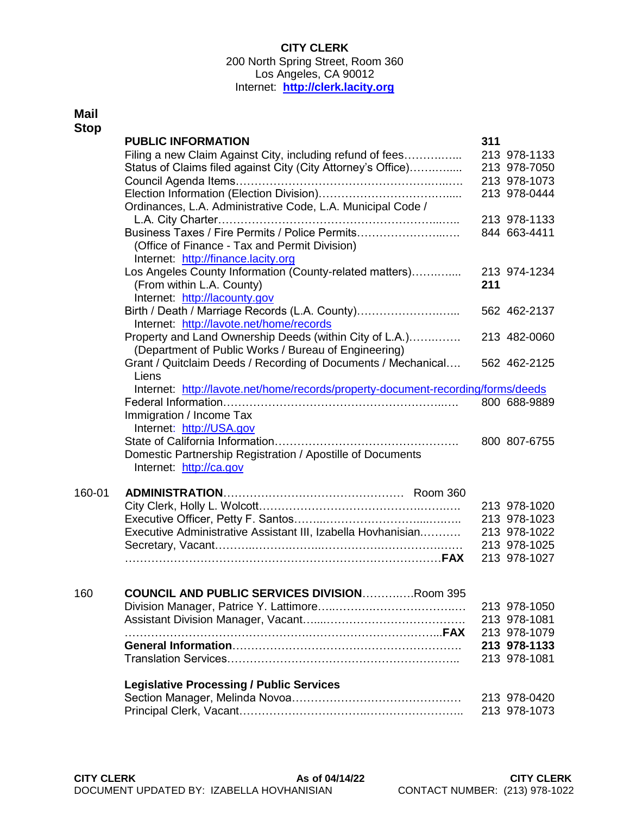## **CITY CLERK**

# 200 North Spring Street, Room 360 Los Angeles, CA 90012

Internet: **[http://clerk.lacity.org](http://clerk.lacity.org/)**

| <b>Mail</b> |                                                                                                |     |              |
|-------------|------------------------------------------------------------------------------------------------|-----|--------------|
| <b>Stop</b> | <b>PUBLIC INFORMATION</b>                                                                      | 311 |              |
|             | Filing a new Claim Against City, including refund of fees                                      |     | 213 978-1133 |
|             | Status of Claims filed against City (City Attorney's Office)                                   |     | 213 978-7050 |
|             |                                                                                                |     | 213 978-1073 |
|             |                                                                                                |     | 213 978-0444 |
|             | Ordinances, L.A. Administrative Code, L.A. Municipal Code /                                    |     |              |
|             |                                                                                                |     | 213 978-1133 |
|             | Business Taxes / Fire Permits / Police Permits                                                 |     | 844 663-4411 |
|             | (Office of Finance - Tax and Permit Division)                                                  |     |              |
|             | Internet: http://finance.lacity.org<br>Los Angeles County Information (County-related matters) |     | 213 974-1234 |
|             | (From within L.A. County)                                                                      | 211 |              |
|             | Internet: http://lacounty.gov                                                                  |     |              |
|             | Birth / Death / Marriage Records (L.A. County)                                                 |     | 562 462-2137 |
|             | Internet: http://lavote.net/home/records                                                       |     |              |
|             | Property and Land Ownership Deeds (within City of L.A.)                                        |     | 213 482-0060 |
|             | (Department of Public Works / Bureau of Engineering)                                           |     |              |
|             | Grant / Quitclaim Deeds / Recording of Documents / Mechanical                                  |     | 562 462-2125 |
|             | Liens                                                                                          |     |              |
|             | Internet: http://lavote.net/home/records/property-document-recording/forms/deeds               |     |              |
|             |                                                                                                |     | 800 688-9889 |
|             | Immigration / Income Tax                                                                       |     |              |
|             | Internet: http://USA.gov                                                                       |     |              |
|             |                                                                                                |     | 800 807-6755 |
|             | Domestic Partnership Registration / Apostille of Documents                                     |     |              |
|             | Internet: http://ca.gov                                                                        |     |              |
| 160-01      |                                                                                                |     |              |
|             |                                                                                                |     | 213 978-1020 |
|             |                                                                                                |     | 213 978-1023 |
|             | Executive Administrative Assistant III, Izabella Hovhanisian                                   |     | 213 978-1022 |
|             |                                                                                                |     | 213 978-1025 |
|             |                                                                                                |     | 213 978-1027 |
|             |                                                                                                |     |              |
| 160         | <b>COUNCIL AND PUBLIC SERVICES DIVISIONRoom 395</b>                                            |     |              |
|             |                                                                                                |     | 213 978-1050 |
|             |                                                                                                |     | 213 978-1081 |
|             |                                                                                                |     | 213 978-1079 |
|             |                                                                                                |     | 213 978-1133 |
|             | Translation Services………………………………………………………                                                      |     | 213 978-1081 |
|             | <b>Legislative Processing / Public Services</b>                                                |     |              |
|             |                                                                                                |     | 213 978-0420 |
|             |                                                                                                |     | 213 978-1073 |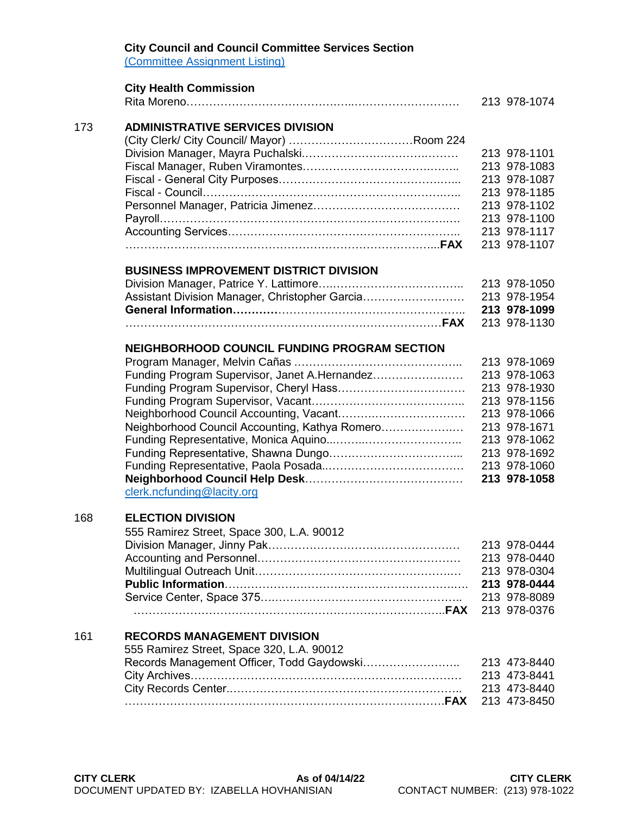## **City Council and Council Committee Services Section**

[\(Committee Assignment Listing\)](https://clerk.lacity.org/sites/g/files/wph1491/files/2021-08/Committee_Assignments_-_Committees_updated_8-10-21.pdf)

#### **City Health Commission**

|  |  | 213 978-1074 |
|--|--|--------------|
|--|--|--------------|

## 173 **ADMINISTRATIVE SERVICES DIVISION**

|  | 213 978-1101 |
|--|--------------|
|  | 213 978-1083 |
|  | 213 978-1087 |
|  | 213 978-1185 |
|  | 213 978-1102 |
|  | 213 978-1100 |
|  | 213 978-1117 |
|  | 213 978-1107 |
|  |              |

#### **BUSINESS IMPROVEMENT DISTRICT DIVISION**

|  | 213 978-1099 |
|--|--------------|
|  |              |

### **NEIGHBORHOOD COUNCIL FUNDING PROGRAM SECTION**

|                                                | 213 978-1069 |
|------------------------------------------------|--------------|
| Funding Program Supervisor, Janet A. Hernandez | 213 978-1063 |
|                                                | 213 978-1930 |
|                                                | 213 978-1156 |
|                                                | 213 978-1066 |
|                                                | 213 978-1671 |
|                                                | 213 978-1062 |
|                                                | 213 978-1692 |
|                                                | 213 978-1060 |
|                                                | 213 978-1058 |
| clerk.ncfunding@lacity.org                     |              |

#### 168 **ELECTION DIVISION**

| 555 Ramirez Street, Space 300, L.A. 90012 |              |
|-------------------------------------------|--------------|
|                                           | 213 978-0444 |
|                                           | 213 978-0440 |
|                                           | 213 978-0304 |
|                                           |              |
|                                           |              |
|                                           |              |

### 161 **RECORDS MANAGEMENT DIVISION**

| 555 Ramirez Street, Space 320, L.A. 90012 |              |
|-------------------------------------------|--------------|
|                                           |              |
|                                           | 213 473-8441 |
|                                           |              |
|                                           |              |
|                                           |              |